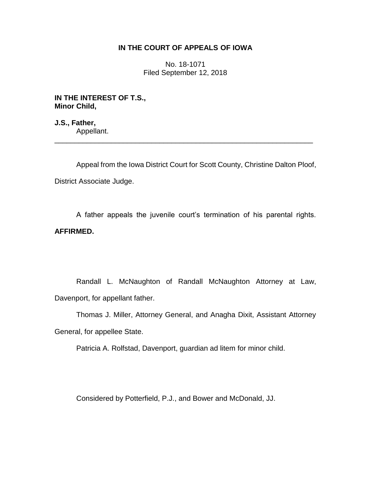# **IN THE COURT OF APPEALS OF IOWA**

No. 18-1071 Filed September 12, 2018

**IN THE INTEREST OF T.S., Minor Child,**

**J.S., Father,** Appellant. \_\_\_\_\_\_\_\_\_\_\_\_\_\_\_\_\_\_\_\_\_\_\_\_\_\_\_\_\_\_\_\_\_\_\_\_\_\_\_\_\_\_\_\_\_\_\_\_\_\_\_\_\_\_\_\_\_\_\_\_\_\_\_\_

Appeal from the Iowa District Court for Scott County, Christine Dalton Ploof, District Associate Judge.

A father appeals the juvenile court's termination of his parental rights. **AFFIRMED.**

Randall L. McNaughton of Randall McNaughton Attorney at Law, Davenport, for appellant father.

Thomas J. Miller, Attorney General, and Anagha Dixit, Assistant Attorney General, for appellee State.

Patricia A. Rolfstad, Davenport, guardian ad litem for minor child.

Considered by Potterfield, P.J., and Bower and McDonald, JJ.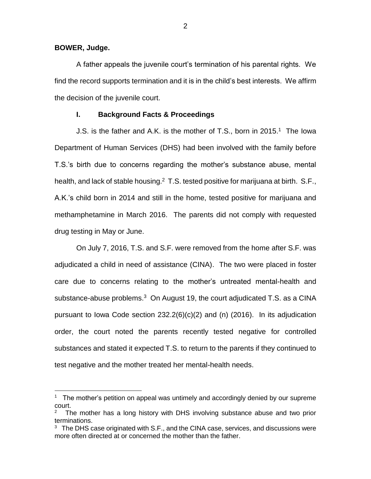**BOWER, Judge.**

 $\overline{a}$ 

A father appeals the juvenile court's termination of his parental rights. We find the record supports termination and it is in the child's best interests. We affirm the decision of the juvenile court.

## **I. Background Facts & Proceedings**

J.S. is the father and A.K. is the mother of T.S., born in 2015.<sup>1</sup> The lowa Department of Human Services (DHS) had been involved with the family before T.S.'s birth due to concerns regarding the mother's substance abuse, mental health, and lack of stable housing.<sup>2</sup> T.S. tested positive for marijuana at birth. S.F., A.K.'s child born in 2014 and still in the home, tested positive for marijuana and methamphetamine in March 2016. The parents did not comply with requested drug testing in May or June.

On July 7, 2016, T.S. and S.F. were removed from the home after S.F. was adjudicated a child in need of assistance (CINA). The two were placed in foster care due to concerns relating to the mother's untreated mental-health and substance-abuse problems. $3$  On August 19, the court adjudicated T.S. as a CINA pursuant to Iowa Code section  $232.2(6)(c)(2)$  and (n) (2016). In its adjudication order, the court noted the parents recently tested negative for controlled substances and stated it expected T.S. to return to the parents if they continued to test negative and the mother treated her mental-health needs.

<sup>&</sup>lt;sup>1</sup> The mother's petition on appeal was untimely and accordingly denied by our supreme court.

<sup>2</sup> The mother has a long history with DHS involving substance abuse and two prior terminations.

<sup>&</sup>lt;sup>3</sup> The DHS case originated with S.F., and the CINA case, services, and discussions were more often directed at or concerned the mother than the father.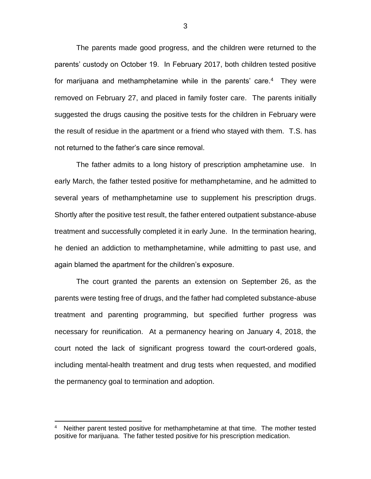The parents made good progress, and the children were returned to the parents' custody on October 19. In February 2017, both children tested positive for marijuana and methamphetamine while in the parents' care.<sup>4</sup> They were removed on February 27, and placed in family foster care. The parents initially suggested the drugs causing the positive tests for the children in February were the result of residue in the apartment or a friend who stayed with them. T.S. has not returned to the father's care since removal.

The father admits to a long history of prescription amphetamine use. In early March, the father tested positive for methamphetamine, and he admitted to several years of methamphetamine use to supplement his prescription drugs. Shortly after the positive test result, the father entered outpatient substance-abuse treatment and successfully completed it in early June. In the termination hearing, he denied an addiction to methamphetamine, while admitting to past use, and again blamed the apartment for the children's exposure.

The court granted the parents an extension on September 26, as the parents were testing free of drugs, and the father had completed substance-abuse treatment and parenting programming, but specified further progress was necessary for reunification. At a permanency hearing on January 4, 2018, the court noted the lack of significant progress toward the court-ordered goals, including mental-health treatment and drug tests when requested, and modified the permanency goal to termination and adoption.

 $\overline{a}$ 

<sup>4</sup> Neither parent tested positive for methamphetamine at that time. The mother tested positive for marijuana. The father tested positive for his prescription medication.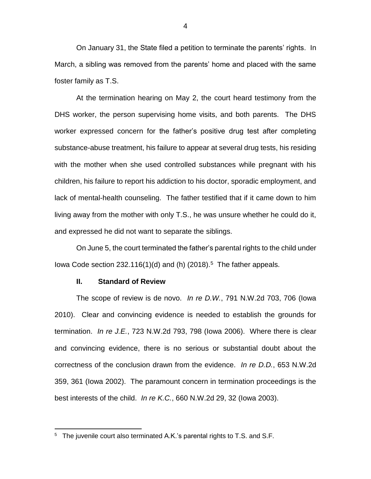On January 31, the State filed a petition to terminate the parents' rights. In March, a sibling was removed from the parents' home and placed with the same foster family as T.S.

At the termination hearing on May 2, the court heard testimony from the DHS worker, the person supervising home visits, and both parents. The DHS worker expressed concern for the father's positive drug test after completing substance-abuse treatment, his failure to appear at several drug tests, his residing with the mother when she used controlled substances while pregnant with his children, his failure to report his addiction to his doctor, sporadic employment, and lack of mental-health counseling. The father testified that if it came down to him living away from the mother with only T.S., he was unsure whether he could do it, and expressed he did not want to separate the siblings.

On June 5, the court terminated the father's parental rights to the child under lowa Code section 232.116(1)(d) and (h)  $(2018).<sup>5</sup>$  The father appeals.

#### **II. Standard of Review**

 $\overline{a}$ 

The scope of review is de novo. *In re D.W.*, 791 N.W.2d 703, 706 (Iowa 2010). Clear and convincing evidence is needed to establish the grounds for termination. *In re J.E.*, 723 N.W.2d 793, 798 (Iowa 2006). Where there is clear and convincing evidence, there is no serious or substantial doubt about the correctness of the conclusion drawn from the evidence. *In re D.D.*, 653 N.W.2d 359, 361 (Iowa 2002). The paramount concern in termination proceedings is the best interests of the child. *In re K.C.*, 660 N.W.2d 29, 32 (Iowa 2003).

 $5$  The juvenile court also terminated A.K.'s parental rights to T.S. and S.F.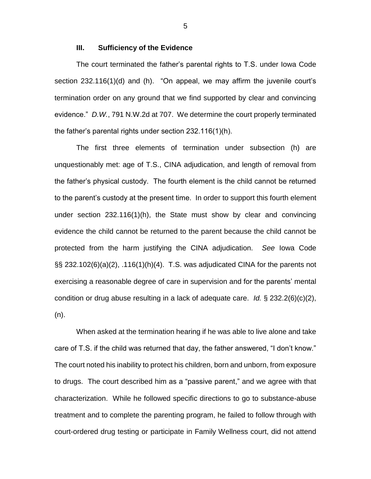### **III. Sufficiency of the Evidence**

The court terminated the father's parental rights to T.S. under Iowa Code section 232.116(1)(d) and (h). "On appeal, we may affirm the juvenile court's termination order on any ground that we find supported by clear and convincing evidence." *D.W.*, 791 N.W.2d at 707. We determine the court properly terminated the father's parental rights under section 232.116(1)(h).

The first three elements of termination under subsection (h) are unquestionably met: age of T.S., CINA adjudication, and length of removal from the father's physical custody. The fourth element is the child cannot be returned to the parent's custody at the present time. In order to support this fourth element under section 232.116(1)(h), the State must show by clear and convincing evidence the child cannot be returned to the parent because the child cannot be protected from the harm justifying the CINA adjudication. *See* Iowa Code §§ 232.102(6)(a)(2), .116(1)(h)(4). T.S. was adjudicated CINA for the parents not exercising a reasonable degree of care in supervision and for the parents' mental condition or drug abuse resulting in a lack of adequate care. *Id.* § 232.2(6)(c)(2), (n).

When asked at the termination hearing if he was able to live alone and take care of T.S. if the child was returned that day, the father answered, "I don't know." The court noted his inability to protect his children, born and unborn, from exposure to drugs. The court described him as a "passive parent," and we agree with that characterization. While he followed specific directions to go to substance-abuse treatment and to complete the parenting program, he failed to follow through with court-ordered drug testing or participate in Family Wellness court, did not attend

5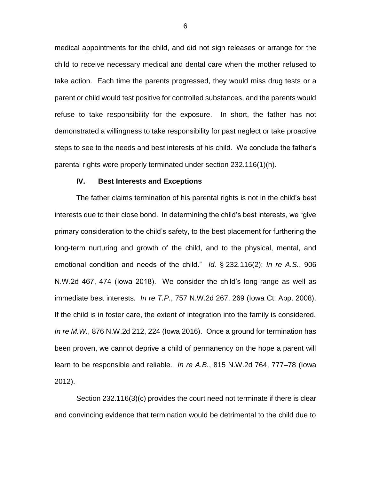medical appointments for the child, and did not sign releases or arrange for the child to receive necessary medical and dental care when the mother refused to take action. Each time the parents progressed, they would miss drug tests or a parent or child would test positive for controlled substances, and the parents would refuse to take responsibility for the exposure. In short, the father has not demonstrated a willingness to take responsibility for past neglect or take proactive steps to see to the needs and best interests of his child. We conclude the father's parental rights were properly terminated under section 232.116(1)(h).

### **IV. Best Interests and Exceptions**

The father claims termination of his parental rights is not in the child's best interests due to their close bond. In determining the child's best interests, we "give primary consideration to the child's safety, to the best placement for furthering the long-term nurturing and growth of the child, and to the physical, mental, and emotional condition and needs of the child." *Id.* § 232.116(2); *In re A.S.*, 906 N.W.2d 467, 474 (Iowa 2018). We consider the child's long-range as well as immediate best interests. *In re T.P.*, 757 N.W.2d 267, 269 (Iowa Ct. App. 2008). If the child is in foster care, the extent of integration into the family is considered. *In re M.W.*, 876 N.W.2d 212, 224 (Iowa 2016). Once a ground for termination has been proven, we cannot deprive a child of permanency on the hope a parent will learn to be responsible and reliable. *In re A.B.*, 815 N.W.2d 764, 777–78 (Iowa 2012).

Section 232.116(3)(c) provides the court need not terminate if there is clear and convincing evidence that termination would be detrimental to the child due to